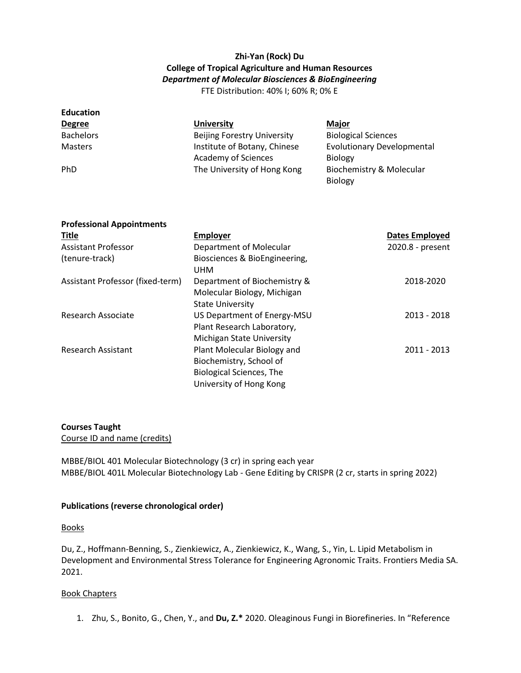# **Zhi-Yan (Rock) Du College of Tropical Agriculture and Human Resources** *Department of Molecular Biosciences & BioEngineering*

FTE Distribution: 40% I; 60% R; 0% E

| <b>Education</b> |                                    |                                   |
|------------------|------------------------------------|-----------------------------------|
| <b>Degree</b>    | <b>University</b>                  | <b>Major</b>                      |
| <b>Bachelors</b> | <b>Beijing Forestry University</b> | <b>Biological Sciences</b>        |
| <b>Masters</b>   | Institute of Botany, Chinese       | <b>Evolutionary Developmental</b> |
|                  | <b>Academy of Sciences</b>         | <b>Biology</b>                    |
| <b>PhD</b>       | The University of Hong Kong        | Biochemistry & Molecular          |
|                  |                                    | Biology                           |

| <b>Professional Appointments</b> |                                                                                                                      |                       |  |  |
|----------------------------------|----------------------------------------------------------------------------------------------------------------------|-----------------------|--|--|
| <b>Title</b>                     | <b>Employer</b>                                                                                                      | <b>Dates Employed</b> |  |  |
| Assistant Professor              | Department of Molecular                                                                                              | 2020.8 - present      |  |  |
| (tenure-track)                   | Biosciences & BioEngineering,<br><b>UHM</b>                                                                          |                       |  |  |
| Assistant Professor (fixed-term) | Department of Biochemistry &<br>Molecular Biology, Michigan<br><b>State University</b>                               | 2018-2020             |  |  |
| Research Associate               | US Department of Energy-MSU<br>Plant Research Laboratory,<br><b>Michigan State University</b>                        | $2013 - 2018$         |  |  |
| <b>Research Assistant</b>        | Plant Molecular Biology and<br>Biochemistry, School of<br><b>Biological Sciences, The</b><br>University of Hong Kong | 2011 - 2013           |  |  |

## **Courses Taught**

Course ID and name (credits)

MBBE/BIOL 401 Molecular Biotechnology (3 cr) in spring each year MBBE/BIOL 401L Molecular Biotechnology Lab - Gene Editing by CRISPR (2 cr, starts in spring 2022)

#### **Publications (reverse chronological order)**

#### **Books**

Du, Z., Hoffmann-Benning, S., Zienkiewicz, A., Zienkiewicz, K., Wang, S., Yin, L. Lipid Metabolism in Development and Environmental Stress Tolerance for Engineering Agronomic Traits. Frontiers Media SA. 2021.

#### Book Chapters

1. Zhu, S., Bonito, G., Chen, Y., and **Du, Z.\*** 2020. Oleaginous Fungi in Biorefineries. In "Reference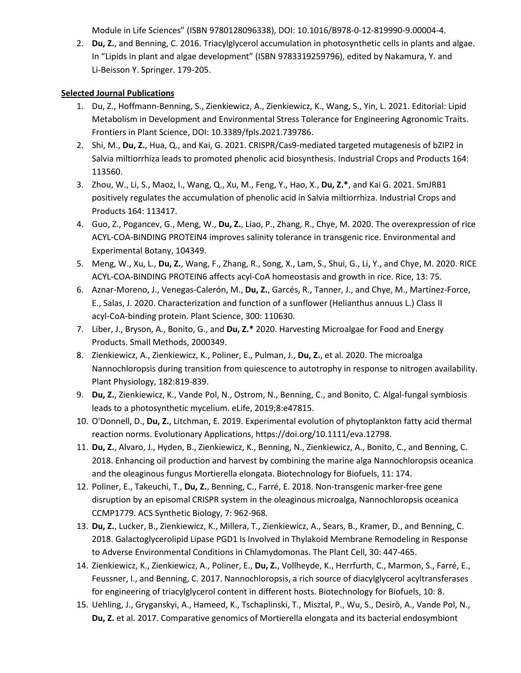Module in Life Sciences" (ISBN 9780128096338), DOI: 10.1016/B978-0-12-819990-9.00004-4.

2. **Du, Z.**, and Benning, C. 2016. Triacylglycerol accumulation in photosynthetic cells in plants and algae. In "Lipids in plant and algae development" (ISBN 9783319259796), edited by Nakamura, Y. and Li-Beisson Y. Springer. 179-205.

# **Selected Journal Publications**

- 1. Du, Z., Hoffmann-Benning, S., Zienkiewicz, A., Zienkiewicz, K., Wang, S., Yin, L. 2021. Editorial: Lipid Metabolism in Development and Environmental Stress Tolerance for Engineering Agronomic Traits. Frontiers in Plant Science, DOI: 10.3389/fpls.2021.739786.
- 2. Shi, M., **Du, Z.**, Hua, Q., and Kai, G. 2021. CRISPR/Cas9-mediated targeted mutagenesis of bZIP2 in Salvia miltiorrhiza leads to promoted phenolic acid biosynthesis. Industrial Crops and Products 164: 113560.
- 3. Zhou, W., Li, S., Maoz, I., Wang, Q., Xu, M., Feng, Y., Hao, X., **Du, Z.\***, and Kai G. 2021. SmJRB1 positively regulates the accumulation of phenolic acid in Salvia miltiorrhiza. Industrial Crops and Products 164: 113417.
- 4. Guo, Z., Pogancev, G., Meng, W., **Du, Z.**, Liao, P., Zhang, R., Chye, M. 2020. The overexpression of rice ACYL-COA-BINDING PROTEIN4 improves salinity tolerance in transgenic rice. Environmental and Experimental Botany, 104349.
- 5. Meng, W., Xu, L., **Du, Z.**, Wang, F., Zhang, R., Song, X., Lam, S., Shui, G., Li, Y., and Chye, M. 2020. RICE ACYL-COA-BINDING PROTEIN6 affects acyl-CoA homeostasis and growth in rice. Rice, 13: 75.
- 6. Aznar-Moreno, J., Venegas-Calerón, M., **Du, Z.**, Garcés, R., Tanner, J., and Chye, M., Martínez-Force, E., Salas, J. 2020. Characterization and function of a sunflower (Helianthus annuus L.) Class II acyl-CoA-binding protein. Plant Science, 300: 110630.
- 7. Liber, J., Bryson, A., Bonito, G., and **Du, Z.\*** 2020. Harvesting Microalgae for Food and Energy Products. Small Methods, 2000349.
- 8. Zienkiewicz, A., Zienkiewicz, K., Poliner, E., Pulman, J., **Du, Z.**, et al. 2020. The microalga Nannochloropsis during transition from quiescence to autotrophy in response to nitrogen availability. Plant Physiology, 182:819-839.
- 9. **Du, Z.**, Zienkiewicz, K., Vande Pol, N., Ostrom, N., Benning, C., and Bonito, C. Algal-fungal symbiosis leads to a photosynthetic mycelium. eLife, 2019;8:e47815.
- 10. O'Donnell, D., **Du, Z.**, Litchman, E. 2019. Experimental evolution of phytoplankton fatty acid thermal reaction norms. Evolutionary Applications, https://doi.org/10.1111/eva.12798.
- 11. **Du, Z.**, Alvaro, J., Hyden, B., Zienkiewicz, K., Benning, N., Zienkiewicz, A., Bonito, C., and Benning, C. 2018. Enhancing oil production and harvest by combining the marine alga Nannochloropsis oceanica and the oleaginous fungus Mortierella elongata. Biotechnology for Biofuels, 11: 174.
- 12. Poliner, E., Takeuchi, T., **Du, Z.**, Benning, C., Farré, E. 2018. Non-transgenic marker-free gene disruption by an episomal CRISPR system in the oleaginous microalga, Nannochloropsis oceanica CCMP1779. ACS Synthetic Biology, 7: 962-968.
- 13. **Du, Z.**, Lucker, B., Zienkiewicz, K., Millera, T., Zienkiewicz, A., Sears, B., Kramer, D., and Benning, C. 2018. Galactoglycerolipid Lipase PGD1 Is Involved in Thylakoid Membrane Remodeling in Response to Adverse Environmental Conditions in Chlamydomonas. The Plant Cell, 30: 447-465.
- 14. Zienkiewicz, K., Zienkiewicz, A., Poliner, E., **Du, Z.**, Vollheyde, K., Herrfurth, C., Marmon, S., Farré, E., Feussner, I., and Benning, C. 2017. Nannochloropsis, a rich source of diacylglycerol acyltransferases for engineering of triacylglycerol content in different hosts. Biotechnology for Biofuels, 10: 8.
- 15. Uehling, J., Gryganskyi, A., Hameed, K., Tschaplinski, T., Misztal, P., Wu, S., Desirò, A., Vande Pol, N., **Du, Z.** et al. 2017. Comparative genomics of Mortierella elongata and its bacterial endosymbiont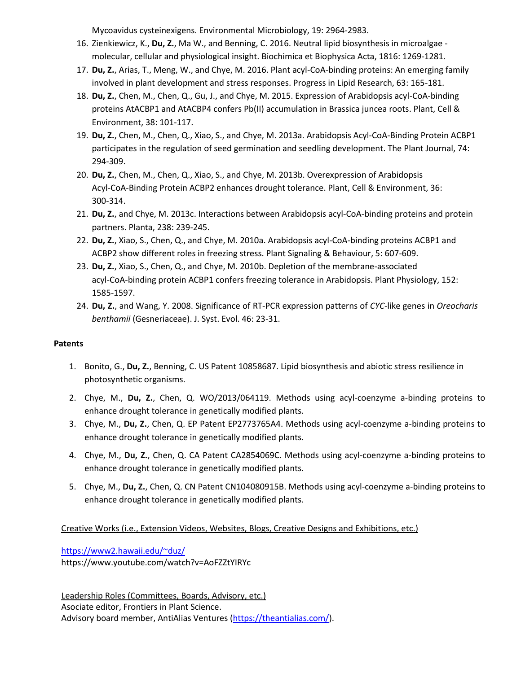Mycoavidus cysteinexigens. Environmental Microbiology, 19: 2964-2983.

- 16. Zienkiewicz, K., **Du, Z.**, Ma W., and Benning, C. 2016. Neutral lipid biosynthesis in microalgae molecular, cellular and physiological insight. Biochimica et Biophysica Acta, 1816: 1269-1281.
- 17. **Du, Z.**, Arias, T., Meng, W., and Chye, M. 2016. Plant acyl-CoA-binding proteins: An emerging family involved in plant development and stress responses. Progress in Lipid Research, 63: 165-181.
- 18. **Du, Z.**, Chen, M., Chen, Q., Gu, J., and Chye, M. 2015. Expression of Arabidopsis acyl-CoA-binding proteins AtACBP1 and AtACBP4 confers Pb(II) accumulation in Brassica juncea roots. Plant, Cell & Environment, 38: 101-117.
- 19. **Du, Z.**, Chen, M., Chen, Q., Xiao, S., and Chye, M. 2013a. Arabidopsis Acyl-CoA-Binding Protein ACBP1 participates in the regulation of seed germination and seedling development. The Plant Journal, 74: 294-309.
- 20. **Du, Z.**, Chen, M., Chen, Q., Xiao, S., and Chye, M. 2013b. Overexpression of Arabidopsis Acyl-CoA-Binding Protein ACBP2 enhances drought tolerance. Plant, Cell & Environment, 36: 300-314.
- 21. **Du, Z.**, and Chye, M. 2013c. Interactions between Arabidopsis acyl-CoA-binding proteins and protein partners. Planta, 238: 239-245.
- 22. **Du, Z.**, Xiao, S., Chen, Q., and Chye, M. 2010a. Arabidopsis acyl-CoA-binding proteins ACBP1 and ACBP2 show different roles in freezing stress. Plant Signaling & Behaviour, 5: 607-609.
- 23. **Du, Z.**, Xiao, S., Chen, Q., and Chye, M. 2010b. Depletion of the membrane-associated acyl-CoA-binding protein ACBP1 confers freezing tolerance in Arabidopsis. Plant Physiology, 152: 1585-1597.
- 24. **Du, Z.**, and Wang, Y. 2008. Significance of RT-PCR expression patterns of *CYC*-like genes in *Oreocharis benthamii* (Gesneriaceae). J. Syst. Evol. 46: 23-31.

# **Patents**

- 1. Bonito, G., **Du, Z.**, Benning, C. US Patent 10858687. Lipid biosynthesis and abiotic stress resilience in photosynthetic organisms.
- 2. Chye, M., **Du, Z.**, Chen, Q. WO/2013/064119. Methods using acyl-coenzyme a-binding proteins to enhance drought tolerance in genetically modified plants.
- 3. Chye, M., **Du, Z.**, Chen, Q. EP Patent EP2773765A4. Methods using acyl-coenzyme a-binding proteins to enhance drought tolerance in genetically modified plants.
- 4. Chye, M., **Du, Z.**, Chen, Q. CA Patent CA2854069C. Methods using acyl-coenzyme a-binding proteins to enhance drought tolerance in genetically modified plants.
- 5. Chye, M., **Du, Z.**, Chen, Q. CN Patent CN104080915B. Methods using acyl-coenzyme a-binding proteins to enhance drought tolerance in genetically modified plants.

Creative Works (i.e., Extension Videos, Websites, Blogs, Creative Designs and Exhibitions, etc.)

<https://www2.hawaii.edu/~duz/> https://www.youtube.com/watch?v=AoFZZtYIRYc

Leadership Roles (Committees, Boards, Advisory, etc.) Asociate editor, Frontiers in Plant Science. Advisory board member, AntiAlias Ventures [\(https://theantialias.com/\)](https://theantialias.com/).